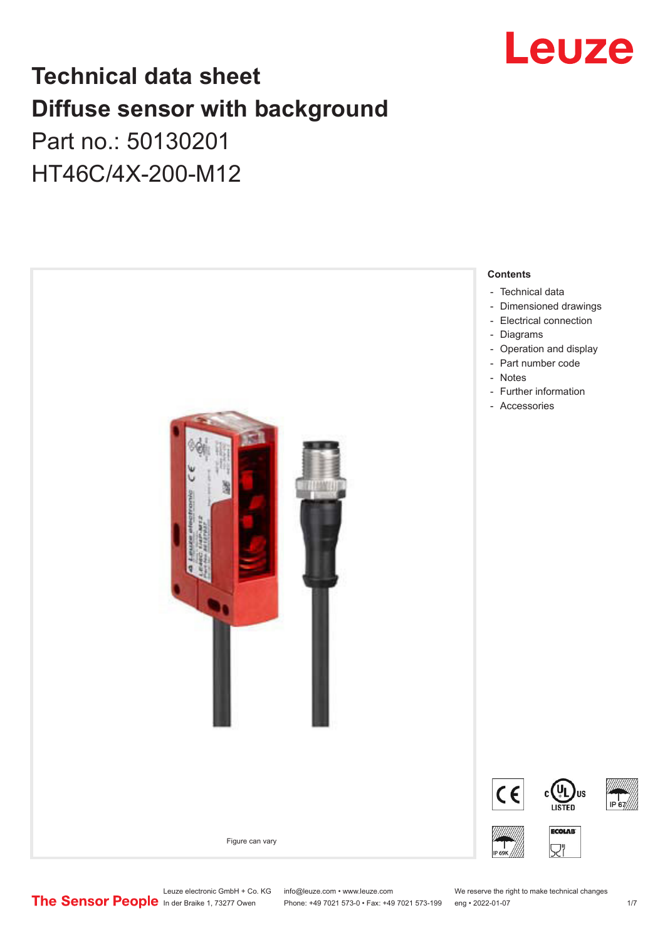

# **Technical data sheet Diffuse sensor with background**  Part no.: 50130201

# HT46C/4X-200-M12



Leuze electronic GmbH + Co. KG info@leuze.com • www.leuze.com We reserve the right to make technical changes<br>
The Sensor People in der Braike 1, 73277 Owen Phone: +49 7021 573-0 • Fax: +49 7021 573-199 eng • 2022-01-07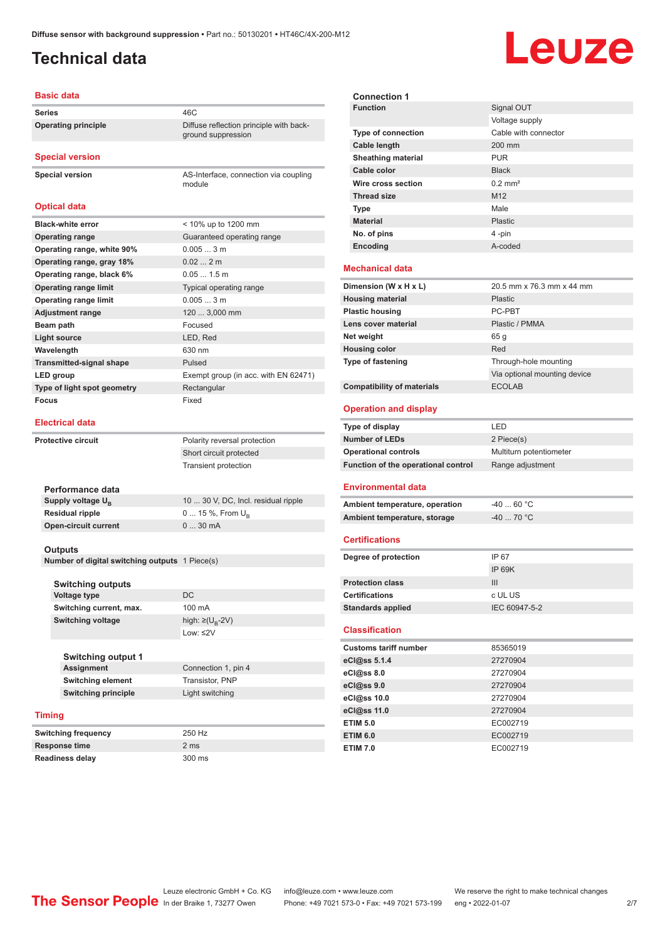ground suppression

module

# <span id="page-1-0"></span>**Technical data**

# Leuze

### **Basic data**

Series 46C **Operating principle** Diffuse reflection principle with back-

**Special version**

**Special version** AS-Interface, connection via coupling

### **Optical data**

| <b>Black-white error</b>        | < 10% up to 1200 mm                  |
|---------------------------------|--------------------------------------|
| <b>Operating range</b>          | Guaranteed operating range           |
| Operating range, white 90%      | 0.0053m                              |
| Operating range, gray 18%       | 0.022m                               |
| Operating range, black 6%       | $0.051.5$ m                          |
| <b>Operating range limit</b>    | Typical operating range              |
| <b>Operating range limit</b>    | 0.0053m                              |
| <b>Adjustment range</b>         | 120  3,000 mm                        |
| Beam path                       | Focused                              |
| Light source                    | LED, Red                             |
| Wavelength                      | 630 nm                               |
| <b>Transmitted-signal shape</b> | Pulsed                               |
| LED group                       | Exempt group (in acc. with EN 62471) |
| Type of light spot geometry     | Rectangular                          |
| Focus                           | Fixed                                |

#### **Electrical data**

| <b>Protective circuit</b>   | Polarity reversal protection        |
|-----------------------------|-------------------------------------|
|                             | Short circuit protected             |
|                             | <b>Transient protection</b>         |
| Performance data            |                                     |
| Supply voltage $U_{B}$      | 10  30 V, DC, Incl. residual ripple |
| <b>Residual ripple</b>      | 0  15 %, From $U_{\rm B}$           |
| <b>Open-circuit current</b> | $030$ mA                            |
|                             |                                     |

#### **Outputs**

**Number of digital switching outputs** 1 Piece(s)

|               | <b>Switching outputs</b>   |                                   |
|---------------|----------------------------|-----------------------------------|
|               | Voltage type               | DC.                               |
|               | Switching current, max.    | 100 mA                            |
|               | <b>Switching voltage</b>   | high: $\geq$ (U <sub>B</sub> -2V) |
|               |                            | Low: ≤2V                          |
|               |                            |                                   |
|               | <b>Switching output 1</b>  |                                   |
|               | <b>Assignment</b>          | Connection 1, pin 4               |
|               | <b>Switching element</b>   | Transistor, PNP                   |
|               | <b>Switching principle</b> | Light switching                   |
|               |                            |                                   |
| <b>Timing</b> |                            |                                   |
|               | <b>Switching frequency</b> | 250 Hz                            |
|               |                            |                                   |

| Response time |                        |  | 2 <sub>ms</sub> |
|---------------|------------------------|--|-----------------|
|               | <b>Readiness delay</b> |  | 300 ms          |

| <b>Connection 1</b>                               |                              |
|---------------------------------------------------|------------------------------|
| <b>Function</b>                                   | Signal OUT                   |
|                                                   | Voltage supply               |
| <b>Type of connection</b>                         | Cable with connector         |
| Cable length                                      | 200 mm                       |
| <b>Sheathing material</b>                         | <b>PUR</b>                   |
| Cable color                                       | <b>Black</b>                 |
| Wire cross section                                | $0.2$ mm <sup>2</sup>        |
| <b>Thread size</b>                                | M12                          |
| <b>Type</b>                                       | Male                         |
| <b>Material</b>                                   | <b>Plastic</b>               |
| No. of pins                                       | 4-pin                        |
| Encoding                                          | A-coded                      |
|                                                   |                              |
| <b>Mechanical data</b>                            |                              |
| Dimension (W x H x L)                             | 20.5 mm x 76.3 mm x 44 mm    |
| <b>Housing material</b>                           | <b>Plastic</b>               |
| <b>Plastic housing</b>                            | PC-PBT                       |
| Lens cover material                               | Plastic / PMMA               |
| Net weight                                        | 65 g                         |
| <b>Housing color</b>                              | Red                          |
| Type of fastening                                 | Through-hole mounting        |
|                                                   | Via optional mounting device |
| <b>Compatibility of materials</b>                 | <b>ECOLAB</b>                |
| <b>Operation and display</b>                      |                              |
|                                                   |                              |
| Type of display                                   | LED                          |
| <b>Number of LEDs</b>                             | 2 Piece(s)                   |
| <b>Operational controls</b>                       | Multiturn potentiometer      |
| Function of the operational control               | Range adjustment             |
|                                                   |                              |
| <b>Environmental data</b>                         |                              |
| Ambient temperature, operation                    | $-40$ 60 °C                  |
| Ambient temperature, storage                      | $-40$ 70 °C                  |
| <b>Certifications</b>                             |                              |
|                                                   |                              |
| Degree of protection                              | IP 67<br><b>IP 69K</b>       |
|                                                   |                              |
| <b>Protection class</b>                           | Ш                            |
| <b>Certifications</b>                             | c UL US<br>IEC 60947-5-2     |
| <b>Standards applied</b><br><b>Classification</b> |                              |
| <b>Customs tariff number</b>                      | 85365019                     |
| eCl@ss 5.1.4                                      | 27270904                     |
| eCl@ss 8.0                                        | 27270904                     |
| eCl@ss 9.0                                        | 27270904                     |
| eCl@ss 10.0                                       | 27270904                     |
| eCl@ss 11.0                                       | 27270904                     |
| <b>ETIM 5.0</b>                                   | EC002719                     |

**ETIM 7.0** EC002719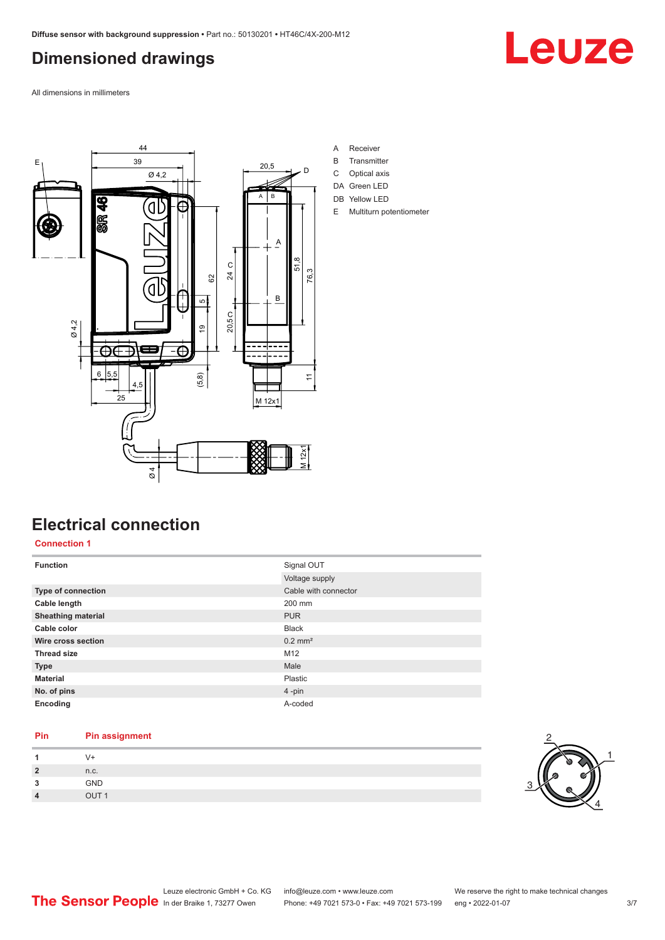# <span id="page-2-0"></span>**Dimensioned drawings**

Leuze

All dimensions in millimeters



# **Electrical connection**

**Connection 1**

| <b>Function</b>           | Signal OUT            |
|---------------------------|-----------------------|
|                           | Voltage supply        |
| Type of connection        | Cable with connector  |
| Cable length              | 200 mm                |
| <b>Sheathing material</b> | <b>PUR</b>            |
| Cable color               | <b>Black</b>          |
| Wire cross section        | $0.2$ mm <sup>2</sup> |
| <b>Thread size</b>        | M12                   |
| <b>Type</b>               | Male                  |
| <b>Material</b>           | Plastic               |
| No. of pins               | $4$ -pin              |
| Encoding                  | A-coded               |

# **Pin Pin assignment**

|                | $V +$            |
|----------------|------------------|
| $\overline{2}$ | n.c.             |
| 3              | GND              |
| $\overline{4}$ | OUT <sub>1</sub> |

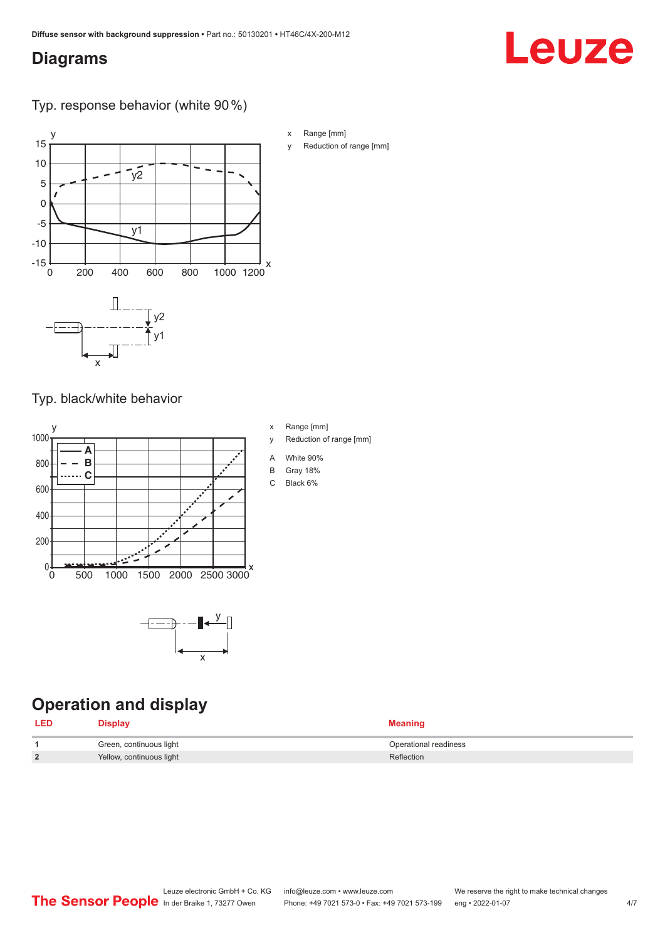# <span id="page-3-0"></span>**Diagrams**

# Leuze

Typ. response behavior (white 90 %)



Typ. black/white behavior



x

# **Operation and display**

| <b>LED</b> | Display                  | <b>Meaning</b>        |
|------------|--------------------------|-----------------------|
|            | Green, continuous light  | Operational readiness |
| າ          | Yellow, continuous light | Reflection            |

- x Range [mm]
- y Reduction of range [mm]
- A White 90%
- B Gray 18%
- C Black 6%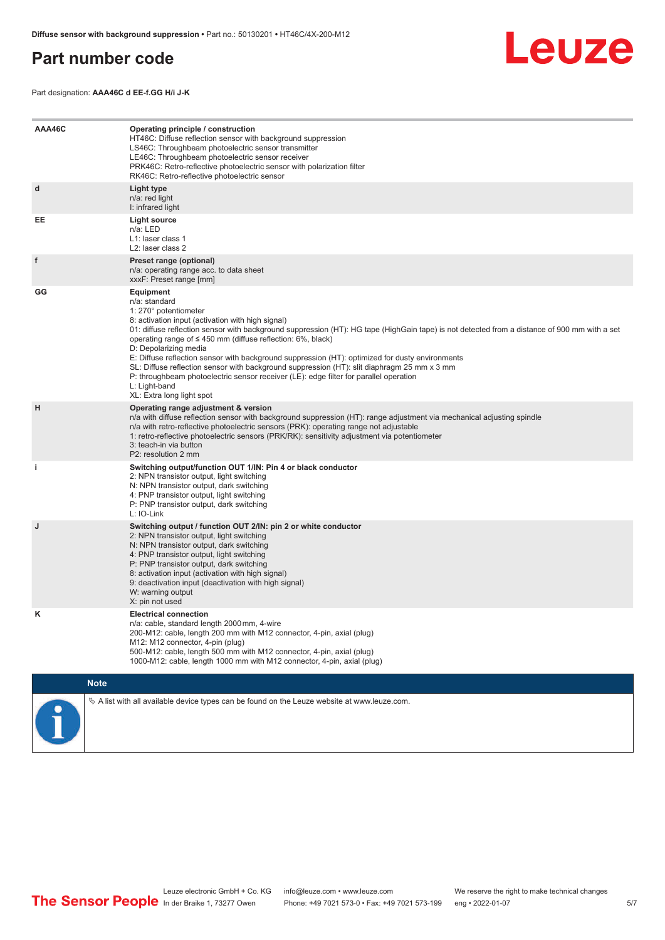## <span id="page-4-0"></span>**Part number code**

![](_page_4_Picture_2.jpeg)

Part designation: **AAA46C d EE-f.GG H/i J-K**

| AAA46C | Operating principle / construction<br>HT46C: Diffuse reflection sensor with background suppression<br>LS46C: Throughbeam photoelectric sensor transmitter<br>LE46C: Throughbeam photoelectric sensor receiver<br>PRK46C: Retro-reflective photoelectric sensor with polarization filter<br>RK46C: Retro-reflective photoelectric sensor                                                                                                                                                                                                                                                                                                                                                        |
|--------|------------------------------------------------------------------------------------------------------------------------------------------------------------------------------------------------------------------------------------------------------------------------------------------------------------------------------------------------------------------------------------------------------------------------------------------------------------------------------------------------------------------------------------------------------------------------------------------------------------------------------------------------------------------------------------------------|
| d      | Light type<br>n/a: red light<br>I: infrared light                                                                                                                                                                                                                                                                                                                                                                                                                                                                                                                                                                                                                                              |
| EE     | Light source<br>n/a: LED<br>L1: laser class 1<br>L <sub>2</sub> : laser class 2                                                                                                                                                                                                                                                                                                                                                                                                                                                                                                                                                                                                                |
| f      | Preset range (optional)<br>n/a: operating range acc. to data sheet<br>xxxF: Preset range [mm]                                                                                                                                                                                                                                                                                                                                                                                                                                                                                                                                                                                                  |
| GG     | Equipment<br>n/a: standard<br>1: 270° potentiometer<br>8: activation input (activation with high signal)<br>01: diffuse reflection sensor with background suppression (HT): HG tape (HighGain tape) is not detected from a distance of 900 mm with a set<br>operating range of $\leq$ 450 mm (diffuse reflection: 6%, black)<br>D: Depolarizing media<br>E: Diffuse reflection sensor with background suppression (HT): optimized for dusty environments<br>SL: Diffuse reflection sensor with background suppression (HT): slit diaphragm 25 mm x 3 mm<br>P: throughbeam photoelectric sensor receiver (LE): edge filter for parallel operation<br>L: Light-band<br>XL: Extra long light spot |
| н      | Operating range adjustment & version<br>n/a with diffuse reflection sensor with background suppression (HT): range adjustment via mechanical adjusting spindle<br>n/a with retro-reflective photoelectric sensors (PRK): operating range not adjustable<br>1: retro-reflective photoelectric sensors (PRK/RK): sensitivity adjustment via potentiometer<br>3: teach-in via button<br>P2: resolution 2 mm                                                                                                                                                                                                                                                                                       |
| j.     | Switching output/function OUT 1/IN: Pin 4 or black conductor<br>2: NPN transistor output, light switching<br>N: NPN transistor output, dark switching<br>4: PNP transistor output, light switching<br>P: PNP transistor output, dark switching<br>L: IO-Link                                                                                                                                                                                                                                                                                                                                                                                                                                   |
| J      | Switching output / function OUT 2/IN: pin 2 or white conductor<br>2: NPN transistor output, light switching<br>N: NPN transistor output, dark switching<br>4: PNP transistor output, light switching<br>P: PNP transistor output, dark switching<br>8: activation input (activation with high signal)<br>9: deactivation input (deactivation with high signal)<br>W: warning output<br>X: pin not used                                                                                                                                                                                                                                                                                         |
| Κ      | <b>Electrical connection</b><br>n/a: cable, standard length 2000 mm, 4-wire<br>200-M12: cable, length 200 mm with M12 connector, 4-pin, axial (plug)<br>M12: M12 connector, 4-pin (plug)<br>500-M12: cable, length 500 mm with M12 connector, 4-pin, axial (plug)<br>1000-M12: cable, length 1000 mm with M12 connector, 4-pin, axial (plug)                                                                                                                                                                                                                                                                                                                                                   |
|        | <b>Note</b>                                                                                                                                                                                                                                                                                                                                                                                                                                                                                                                                                                                                                                                                                    |
|        | $\&$ A list with all available device types can be found on the Leuze website at www.leuze.com.                                                                                                                                                                                                                                                                                                                                                                                                                                                                                                                                                                                                |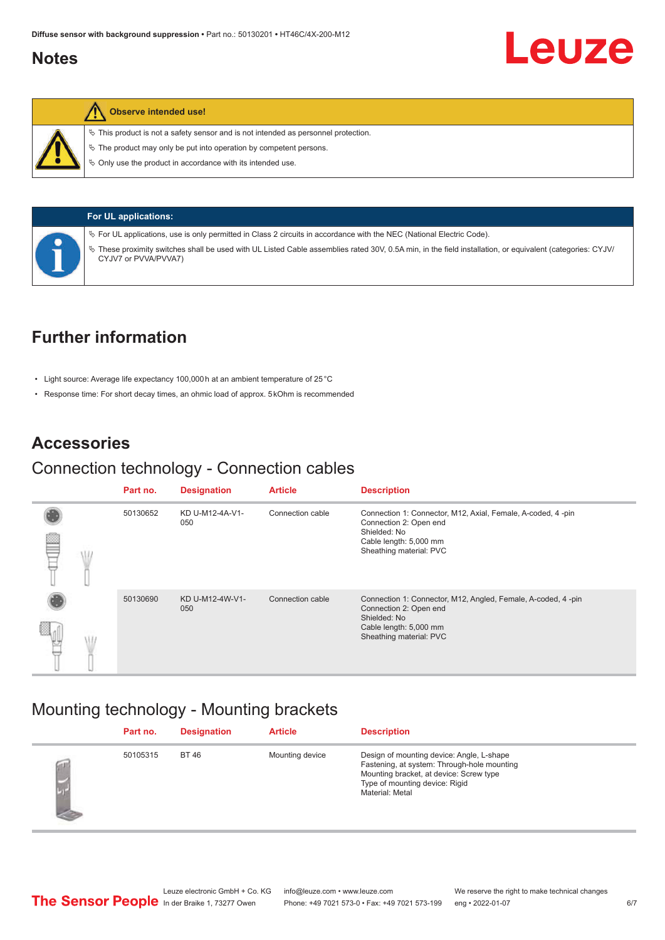## <span id="page-5-0"></span>**Notes**

![](_page_5_Picture_2.jpeg)

### **Observe intended use!**

CYJV7 or PVVA/PVVA7)

 $\%$  This product is not a safety sensor and is not intended as personnel protection.

 $\ddot{\phi}$  The product may only be put into operation by competent persons.

 $\%$  Only use the product in accordance with its intended use.

![](_page_5_Picture_7.jpeg)

ª For UL applications, use is only permitted in Class 2 circuits in accordance with the NEC (National Electric Code). ª These proximity switches shall be used with UL Listed Cable assemblies rated 30V, 0.5A min, in the field installation, or equivalent (categories: CYJV/

# **Further information**

- Light source: Average life expectancy 100,000 h at an ambient temperature of 25 °C
- Response time: For short decay times, an ohmic load of approx. 5 kOhm is recommended

## **Accessories**

### Connection technology - Connection cables

|  | Part no. | <b>Designation</b>     | <b>Article</b>   | <b>Description</b>                                                                                     |
|--|----------|------------------------|------------------|--------------------------------------------------------------------------------------------------------|
|  | 50130652 | KD U-M12-4A-V1-<br>050 | Connection cable | Connection 1: Connector, M12, Axial, Female, A-coded, 4-pin<br>Connection 2: Open end                  |
|  |          |                        |                  | Shielded: No<br>Cable length: 5,000 mm<br>Sheathing material: PVC                                      |
|  | 50130690 | KD U-M12-4W-V1-<br>050 | Connection cable | Connection 1: Connector, M12, Angled, Female, A-coded, 4-pin<br>Connection 2: Open end<br>Shielded: No |
|  |          |                        |                  | Cable length: 5,000 mm<br>Sheathing material: PVC                                                      |

## Mounting technology - Mounting brackets

|          | Part no. | <b>Designation</b> | <b>Article</b>  | <b>Description</b>                                                                                                                                                                       |
|----------|----------|--------------------|-----------------|------------------------------------------------------------------------------------------------------------------------------------------------------------------------------------------|
| <u>S</u> | 50105315 | <b>BT 46</b>       | Mounting device | Design of mounting device: Angle, L-shape<br>Fastening, at system: Through-hole mounting<br>Mounting bracket, at device: Screw type<br>Type of mounting device: Rigid<br>Material: Metal |

Leuze